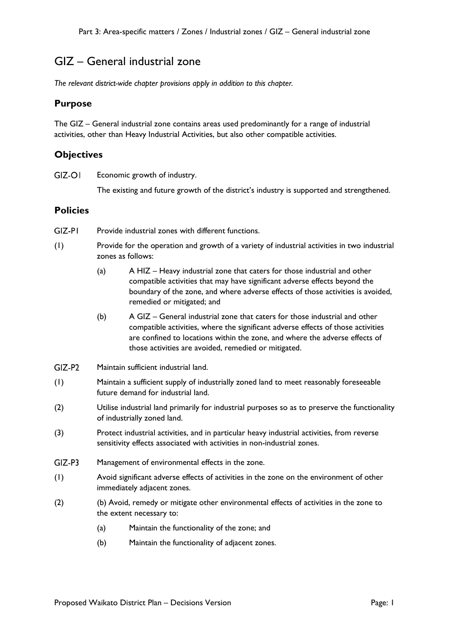# GIZ – General industrial zone

*The relevant district-wide chapter provisions apply in addition to this chapter.*

## **Purpose**

The GIZ – General industrial zone contains areas used predominantly for a range of industrial activities, other than Heavy Industrial Activities, but also other compatible activities.

## **Objectives**

 $GIZ-OI$ Economic growth of industry.

The existing and future growth of the district's industry is supported and strengthened.

# **Policies**

- $GZ-PI$ Provide industrial zones with different functions.
- (1) Provide for the operation and growth of a variety of industrial activities in two industrial zones as follows:
	- (a) A HIZ Heavy industrial zone that caters for those industrial and other compatible activities that may have significant adverse effects beyond the boundary of the zone, and where adverse effects of those activities is avoided, remedied or mitigated; and
	- (b) A GIZ General industrial zone that caters for those industrial and other compatible activities, where the significant adverse effects of those activities are confined to locations within the zone, and where the adverse effects of those activities are avoided, remedied or mitigated.
- $GIZ-P2$ Maintain sufficient industrial land.
- (1) Maintain a sufficient supply of industrially zoned land to meet reasonably foreseeable future demand for industrial land.
- (2) Utilise industrial land primarily for industrial purposes so as to preserve the functionality of industrially zoned land.
- (3) Protect industrial activities, and in particular heavy industrial activities, from reverse sensitivity effects associated with activities in non-industrial zones.
- $GIZ-P3$ Management of environmental effects in the zone.
- (1) Avoid significant adverse effects of activities in the zone on the environment of other immediately adjacent zones.
- (2) (b) Avoid, remedy or mitigate other environmental effects of activities in the zone to the extent necessary to:
	- (a) Maintain the functionality of the zone; and
	- (b) Maintain the functionality of adjacent zones.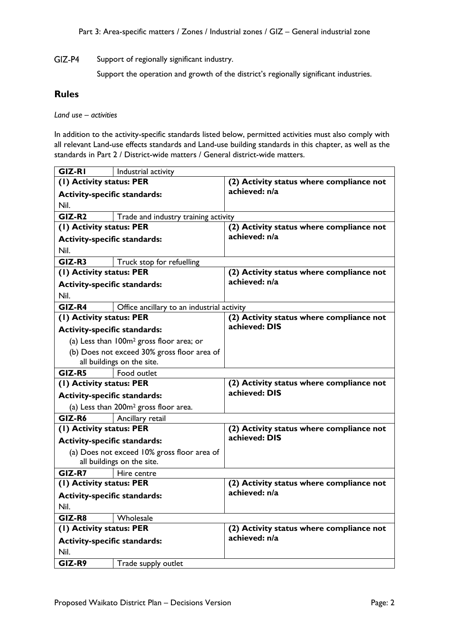GIZ-P4 Support of regionally significant industry.

Support the operation and growth of the district's regionally significant industries.

### **Rules**

*Land use – activities*

In addition to the activity-specific standards listed below, permitted activities must also comply with all relevant Land-use effects standards and Land-use building standards in this chapter, as well as the standards in Part 2 / District-wide matters / General district-wide matters.

| <b>GIZ-RI</b>                                    | Industrial activity                                  |                                          |
|--------------------------------------------------|------------------------------------------------------|------------------------------------------|
| (1) Activity status: PER                         |                                                      | (2) Activity status where compliance not |
| <b>Activity-specific standards:</b>              |                                                      | achieved: n/a                            |
| Nil.                                             |                                                      |                                          |
| $GIZ-R2$<br>Trade and industry training activity |                                                      |                                          |
| (1) Activity status: PER                         |                                                      | (2) Activity status where compliance not |
| <b>Activity-specific standards:</b>              |                                                      | achieved: n/a                            |
| Nil.                                             |                                                      |                                          |
| GIZ-R3                                           | Truck stop for refuelling                            |                                          |
| (1) Activity status: PER                         |                                                      | (2) Activity status where compliance not |
| <b>Activity-specific standards:</b>              |                                                      | achieved: n/a                            |
| Nil.                                             |                                                      |                                          |
| GIZ-R4                                           | Office ancillary to an industrial activity           |                                          |
| (1) Activity status: PER                         |                                                      | (2) Activity status where compliance not |
| <b>Activity-specific standards:</b>              |                                                      | achieved: DIS                            |
|                                                  | (a) Less than 100m <sup>2</sup> gross floor area; or |                                          |
|                                                  | (b) Does not exceed 30% gross floor area of          |                                          |
|                                                  | all buildings on the site.                           |                                          |
| GIZ-R5                                           | Food outlet                                          |                                          |
| (1) Activity status: PER                         |                                                      | (2) Activity status where compliance not |
| <b>Activity-specific standards:</b>              |                                                      | achieved: DIS                            |
|                                                  | (a) Less than 200m <sup>2</sup> gross floor area.    |                                          |
| GIZ-R6                                           | Ancillary retail                                     |                                          |
| (1) Activity status: PER                         |                                                      | (2) Activity status where compliance not |
| <b>Activity-specific standards:</b>              |                                                      | achieved: DIS                            |
|                                                  | (a) Does not exceed 10% gross floor area of          |                                          |
|                                                  | all buildings on the site.                           |                                          |
| GIZ-R7                                           | Hire centre                                          |                                          |
| (1) Activity status: PER                         |                                                      | (2) Activity status where compliance not |
| <b>Activity-specific standards:</b>              |                                                      | achieved: n/a                            |
| Nil.                                             |                                                      |                                          |
| GIZ-R8                                           | Wholesale                                            |                                          |
| (1) Activity status: PER                         |                                                      | (2) Activity status where compliance not |
| <b>Activity-specific standards:</b>              |                                                      | achieved: n/a                            |
| Nil.                                             |                                                      |                                          |
| GIZ-R9                                           | Trade supply outlet                                  |                                          |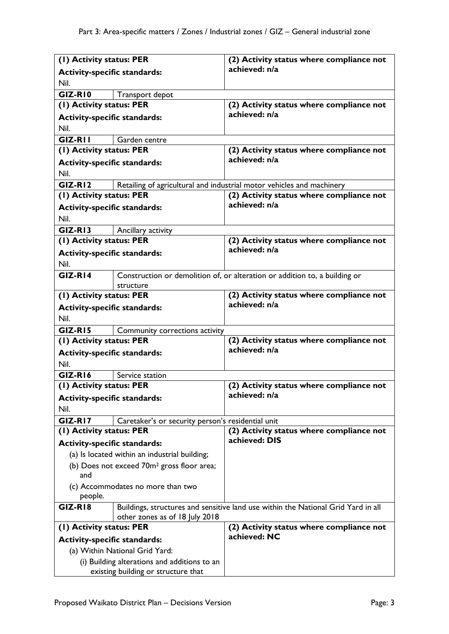| (I) Activity status: PER                               |                                                   | (2) Activity status where compliance not                                          |
|--------------------------------------------------------|---------------------------------------------------|-----------------------------------------------------------------------------------|
| <b>Activity-specific standards:</b>                    |                                                   | achieved: n/a                                                                     |
| Nil.                                                   |                                                   |                                                                                   |
| GIZ-RIO                                                | Transport depot                                   |                                                                                   |
| (I) Activity status: PER                               |                                                   | (2) Activity status where compliance not                                          |
| <b>Activity-specific standards:</b>                    |                                                   | achieved: n/a                                                                     |
| Nil.                                                   |                                                   |                                                                                   |
| GIZ-RII                                                | Garden centre                                     |                                                                                   |
| (I) Activity status: PER                               |                                                   | (2) Activity status where compliance not                                          |
| <b>Activity-specific standards:</b>                    |                                                   | achieved: n/a                                                                     |
| Nil.                                                   |                                                   |                                                                                   |
| $GIZ-R12$                                              |                                                   | Retailing of agricultural and industrial motor vehicles and machinery             |
| (I) Activity status: PER                               |                                                   | (2) Activity status where compliance not                                          |
| <b>Activity-specific standards:</b>                    |                                                   | achieved: n/a                                                                     |
| Nil.                                                   |                                                   |                                                                                   |
| GIZ-RI3                                                | Ancillary activity                                |                                                                                   |
| (I) Activity status: PER                               |                                                   | (2) Activity status where compliance not                                          |
| <b>Activity-specific standards:</b>                    |                                                   | achieved: n/a                                                                     |
| Nil.                                                   |                                                   |                                                                                   |
| $GIZ-R14$                                              |                                                   | Construction or demolition of, or alteration or addition to, a building or        |
|                                                        | structure                                         |                                                                                   |
| (1) Activity status: PER                               |                                                   | (2) Activity status where compliance not                                          |
| <b>Activity-specific standards:</b>                    |                                                   | achieved: n/a                                                                     |
| Nil.                                                   |                                                   |                                                                                   |
| GIZ-RI5                                                | Community corrections activity                    |                                                                                   |
| (I) Activity status: PER                               |                                                   | (2) Activity status where compliance not                                          |
| <b>Activity-specific standards:</b>                    |                                                   | achieved: n/a                                                                     |
| Nil.                                                   |                                                   |                                                                                   |
| GIZ-RI6                                                | Service station                                   |                                                                                   |
| (1) Activity status: PER                               |                                                   | (2) Activity status where compliance not                                          |
| <b>Activity-specific standards:</b>                    |                                                   | achieved: n/a                                                                     |
| Nil.                                                   |                                                   |                                                                                   |
| GIZ-RI7                                                | Caretaker's or security person's residential unit |                                                                                   |
| (1) Activity status: PER                               |                                                   | (2) Activity status where compliance not                                          |
| <b>Activity-specific standards:</b>                    |                                                   | achieved: DIS                                                                     |
|                                                        |                                                   |                                                                                   |
| (b) Does not exceed 70m <sup>2</sup> gross floor area; |                                                   |                                                                                   |
|                                                        | (a) Is located within an industrial building;     |                                                                                   |
| and                                                    |                                                   |                                                                                   |
|                                                        | (c) Accommodates no more than two                 |                                                                                   |
| people.                                                |                                                   |                                                                                   |
| GIZ-RI8                                                |                                                   | Buildings, structures and sensitive land use within the National Grid Yard in all |
|                                                        | other zones as of 18 July 2018                    |                                                                                   |
| (I) Activity status: PER                               |                                                   | (2) Activity status where compliance not                                          |
| <b>Activity-specific standards:</b>                    |                                                   | achieved: NC                                                                      |
|                                                        | (a) Within National Grid Yard:                    |                                                                                   |
|                                                        | (i) Building alterations and additions to an      |                                                                                   |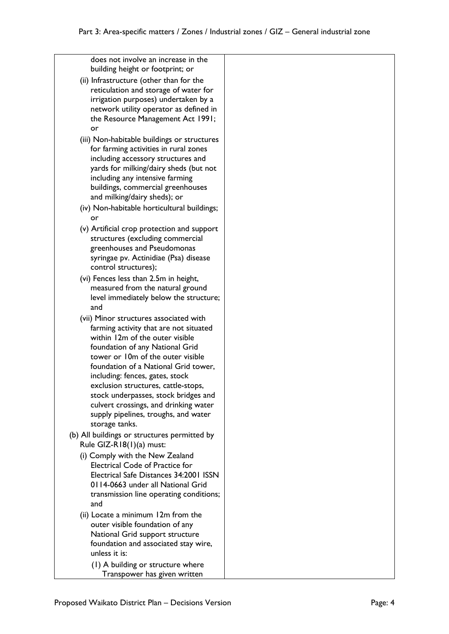does not involve an increase in the building height or footprint; or

- (ii) Infrastructure (other than for the reticulation and storage of water for irrigation purposes) undertaken by a network utility operator as defined in the Resource Management Act 1991; or
- (iii) Non-habitable buildings or structures for farming activities in rural zones including accessory structures and yards for milking/dairy sheds (but not including any intensive farming buildings, commercial greenhouses and milking/dairy sheds); or
- (iv) Non-habitable horticultural buildings; or
- (v) Artificial crop protection and support structures (excluding commercial greenhouses and Pseudomonas syringae pv. Actinidiae (Psa) disease control structures);
- (vi) Fences less than 2.5m in height, measured from the natural ground level immediately below the structure; and
- (vii) Minor structures associated with farming activity that are not situated within 12m of the outer visible foundation of any National Grid tower or 10m of the outer visible foundation of a National Grid tower, including: fences, gates, stock exclusion structures, cattle-stops, stock underpasses, stock bridges and culvert crossings, and drinking water supply pipelines, troughs, and water storage tanks.
- (b) All buildings or structures permitted by Rule GIZ-R18(1)(a) must:
	- (i) Comply with the New Zealand Electrical Code of Practice for Electrical Safe Distances 34:2001 ISSN 0114-0663 under all National Grid transmission line operating conditions; and
	- (ii) Locate a minimum 12m from the outer visible foundation of any National Grid support structure foundation and associated stay wire, unless it is:
		- (1) A building or structure where Transpower has given written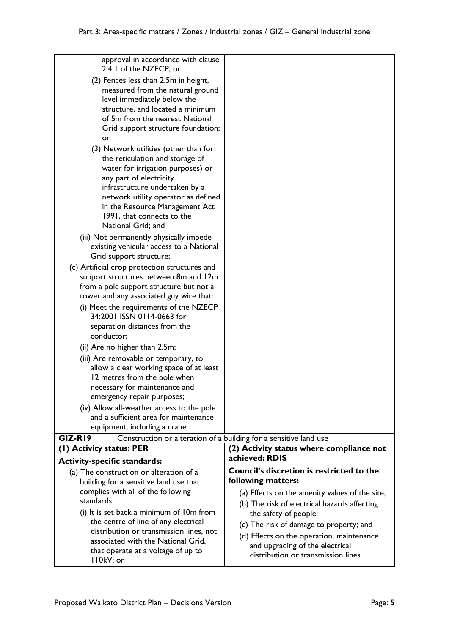| approval in accordance with clause<br>2.4.1 of the NZECP; or                 |                                                            |
|------------------------------------------------------------------------------|------------------------------------------------------------|
| (2) Fences less than 2.5m in height,                                         |                                                            |
| measured from the natural ground                                             |                                                            |
| level immediately below the                                                  |                                                            |
| structure, and located a minimum                                             |                                                            |
| of 5m from the nearest National                                              |                                                            |
| Grid support structure foundation;                                           |                                                            |
| or                                                                           |                                                            |
| (3) Network utilities (other than for                                        |                                                            |
| the reticulation and storage of                                              |                                                            |
| water for irrigation purposes) or                                            |                                                            |
| any part of electricity                                                      |                                                            |
| infrastructure undertaken by a                                               |                                                            |
| network utility operator as defined                                          |                                                            |
| in the Resource Management Act                                               |                                                            |
| 1991, that connects to the                                                   |                                                            |
| National Grid; and                                                           |                                                            |
| (iii) Not permanently physically impede                                      |                                                            |
| existing vehicular access to a National                                      |                                                            |
| Grid support structure;                                                      |                                                            |
| (c) Artificial crop protection structures and                                |                                                            |
| support structures between 8m and 12m                                        |                                                            |
| from a pole support structure but not a                                      |                                                            |
| tower and any associated guy wire that:                                      |                                                            |
| (i) Meet the requirements of the NZECP                                       |                                                            |
| 34:2001 ISSN 0114-0663 for                                                   |                                                            |
| separation distances from the                                                |                                                            |
| conductor;                                                                   |                                                            |
| (ii) Are no higher than 2.5m;                                                |                                                            |
| (iii) Are removable or temporary, to                                         |                                                            |
| allow a clear working space of at least                                      |                                                            |
| 12 metres from the pole when                                                 |                                                            |
| necessary for maintenance and                                                |                                                            |
| emergency repair purposes;                                                   |                                                            |
| (iv) Allow all-weather access to the pole                                    |                                                            |
| and a sufficient area for maintenance                                        |                                                            |
| equipment, including a crane.                                                |                                                            |
| GIZ-RI9<br>Construction or alteration of a building for a sensitive land use |                                                            |
| (1) Activity status: PER                                                     | (2) Activity status where compliance not<br>achieved: RDIS |
| <b>Activity-specific standards:</b>                                          |                                                            |
| (a) The construction or alteration of a                                      | Council's discretion is restricted to the                  |
| building for a sensitive land use that                                       | following matters:                                         |
| complies with all of the following                                           | (a) Effects on the amenity values of the site;             |
| standards:                                                                   | (b) The risk of electrical hazards affecting               |
| (i) It is set back a minimum of 10m from                                     | the safety of people;                                      |
| the centre of line of any electrical                                         | (c) The risk of damage to property; and                    |
| distribution or transmission lines, not                                      | (d) Effects on the operation, maintenance                  |
| associated with the National Grid,                                           | and upgrading of the electrical                            |
| that operate at a voltage of up to<br>II0kV; or                              | distribution or transmission lines.                        |
|                                                                              |                                                            |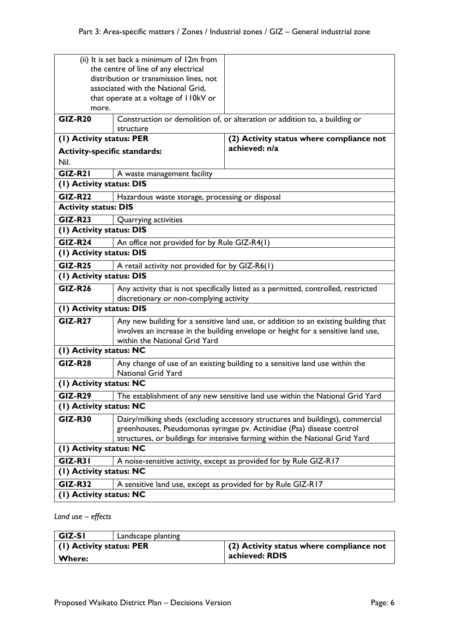| (ii) It is set back a minimum of 12m from                                      |                                                                                                 |                                                                              |  |
|--------------------------------------------------------------------------------|-------------------------------------------------------------------------------------------------|------------------------------------------------------------------------------|--|
| the centre of line of any electrical                                           |                                                                                                 |                                                                              |  |
| distribution or transmission lines, not                                        |                                                                                                 |                                                                              |  |
|                                                                                | associated with the National Grid,                                                              |                                                                              |  |
|                                                                                | that operate at a voltage of I IOkV or                                                          |                                                                              |  |
| more.                                                                          |                                                                                                 |                                                                              |  |
| <b>GIZ-R20</b>                                                                 | Construction or demolition of, or alteration or addition to, a building or                      |                                                                              |  |
|                                                                                | structure                                                                                       |                                                                              |  |
| (1) Activity status: PER<br>(2) Activity status where compliance not           |                                                                                                 |                                                                              |  |
| <b>Activity-specific standards:</b>                                            |                                                                                                 | achieved: n/a                                                                |  |
| Nil.                                                                           |                                                                                                 |                                                                              |  |
| $GIZ-R21$                                                                      | A waste management facility                                                                     |                                                                              |  |
| (I) Activity status: DIS                                                       |                                                                                                 |                                                                              |  |
| <b>GIZ-R22</b>                                                                 | Hazardous waste storage, processing or disposal                                                 |                                                                              |  |
| <b>Activity status: DIS</b>                                                    |                                                                                                 |                                                                              |  |
| <b>GIZ-R23</b>                                                                 | Quarrying activities                                                                            |                                                                              |  |
| (I) Activity status: DIS                                                       |                                                                                                 |                                                                              |  |
| <b>GIZ-R24</b>                                                                 | An office not provided for by Rule GIZ-R4(1)                                                    |                                                                              |  |
|                                                                                | (I) Activity status: DIS                                                                        |                                                                              |  |
| <b>GIZ-R25</b>                                                                 | A retail activity not provided for by GIZ-R6(1)                                                 |                                                                              |  |
| (I) Activity status: DIS                                                       |                                                                                                 |                                                                              |  |
| $GIZ-R26$                                                                      | Any activity that is not specifically listed as a permitted, controlled, restricted             |                                                                              |  |
| discretionary or non-complying activity                                        |                                                                                                 |                                                                              |  |
| (I) Activity status: DIS                                                       |                                                                                                 |                                                                              |  |
| <b>GIZ-R27</b>                                                                 | Any new building for a sensitive land use, or addition to an existing building that             |                                                                              |  |
|                                                                                | involves an increase in the building envelope or height for a sensitive land use,               |                                                                              |  |
| within the National Grid Yard                                                  |                                                                                                 |                                                                              |  |
| (I) Activity status: NC                                                        |                                                                                                 |                                                                              |  |
| <b>GIZ-R28</b>                                                                 |                                                                                                 | Any change of use of an existing building to a sensitive land use within the |  |
|                                                                                | <b>National Grid Yard</b>                                                                       |                                                                              |  |
| (I) Activity status: NC                                                        |                                                                                                 |                                                                              |  |
|                                                                                | <b>GIZ-R29</b><br>The establishment of any new sensitive land use within the National Grid Yard |                                                                              |  |
| (I) Activity status: NC                                                        |                                                                                                 |                                                                              |  |
| <b>GIZ-R30</b>                                                                 | Dairy/milking sheds (excluding accessory structures and buildings), commercial                  |                                                                              |  |
|                                                                                |                                                                                                 | greenhouses, Pseudomonas syringae pv. Actinidiae (Psa) disease control       |  |
|                                                                                |                                                                                                 | structures, or buildings for intensive farming within the National Grid Yard |  |
| (1) Activity status: NC                                                        |                                                                                                 |                                                                              |  |
| <b>GIZ-R31</b>                                                                 |                                                                                                 | A noise-sensitive activity, except as provided for by Rule GIZ-RI7           |  |
| (1) Activity status: NC                                                        |                                                                                                 |                                                                              |  |
| <b>GIZ-R32</b><br>A sensitive land use, except as provided for by Rule GIZ-RI7 |                                                                                                 |                                                                              |  |
| (I) Activity status: NC                                                        |                                                                                                 |                                                                              |  |

*Land use – effects*

| GIZ-SI                   | Landscape planting |                                                  |
|--------------------------|--------------------|--------------------------------------------------|
| (1) Activity status: PER |                    | $\vert$ (2) Activity status where compliance not |
| <b>Where:</b>            |                    | achieved: RDIS                                   |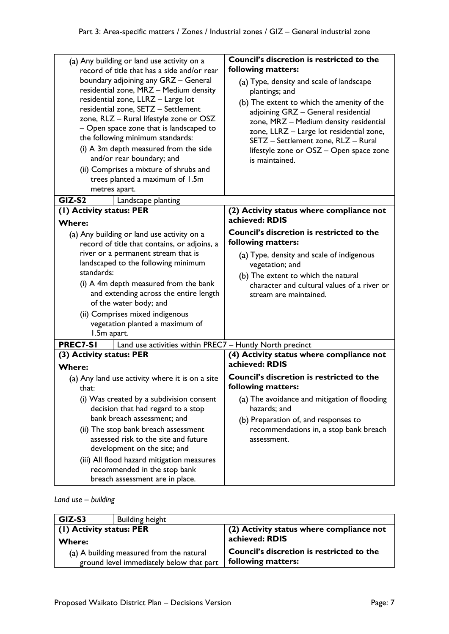| (a) Any building or land use activity on a<br>record of title that has a side and/or rear                                                                                                                                                    | Council's discretion is restricted to the<br>following matters:                                                                                                                                                                                           |
|----------------------------------------------------------------------------------------------------------------------------------------------------------------------------------------------------------------------------------------------|-----------------------------------------------------------------------------------------------------------------------------------------------------------------------------------------------------------------------------------------------------------|
| boundary adjoining any GRZ - General<br>residential zone, MRZ - Medium density                                                                                                                                                               | (a) Type, density and scale of landscape<br>plantings; and                                                                                                                                                                                                |
| residential zone, LLRZ - Large lot<br>residential zone, SETZ - Settlement<br>zone, RLZ - Rural lifestyle zone or OSZ<br>- Open space zone that is landscaped to<br>the following minimum standards:<br>(i) A 3m depth measured from the side | (b) The extent to which the amenity of the<br>adjoining GRZ - General residential<br>zone, MRZ - Medium density residential<br>zone, LLRZ - Large lot residential zone,<br>SETZ - Settlement zone, RLZ - Rural<br>lifestyle zone or OSZ - Open space zone |
| and/or rear boundary; and                                                                                                                                                                                                                    | is maintained.                                                                                                                                                                                                                                            |
| (ii) Comprises a mixture of shrubs and<br>trees planted a maximum of 1.5m<br>metres apart.                                                                                                                                                   |                                                                                                                                                                                                                                                           |
| GIZ-S2<br>Landscape planting                                                                                                                                                                                                                 |                                                                                                                                                                                                                                                           |
| (1) Activity status: PER<br><b>Where:</b>                                                                                                                                                                                                    | (2) Activity status where compliance not<br>achieved: RDIS                                                                                                                                                                                                |
| (a) Any building or land use activity on a                                                                                                                                                                                                   | <b>Council's discretion is restricted to the</b>                                                                                                                                                                                                          |
| record of title that contains, or adjoins, a                                                                                                                                                                                                 | following matters:                                                                                                                                                                                                                                        |
| river or a permanent stream that is                                                                                                                                                                                                          | (a) Type, density and scale of indigenous                                                                                                                                                                                                                 |
| landscaped to the following minimum<br>standards:                                                                                                                                                                                            | vegetation; and                                                                                                                                                                                                                                           |
|                                                                                                                                                                                                                                              | (b) The extent to which the natural                                                                                                                                                                                                                       |
| (i) A 4m depth measured from the bank                                                                                                                                                                                                        | character and cultural values of a river or                                                                                                                                                                                                               |
| and extending across the entire length<br>of the water body; and                                                                                                                                                                             | stream are maintained.                                                                                                                                                                                                                                    |
| (ii) Comprises mixed indigenous<br>vegetation planted a maximum of<br>1.5m apart.                                                                                                                                                            |                                                                                                                                                                                                                                                           |
| PREC7-SI<br>Land use activities within PREC7 - Huntly North precinct                                                                                                                                                                         |                                                                                                                                                                                                                                                           |
| (3) Activity status: PER                                                                                                                                                                                                                     | (4) Activity status where compliance not<br>achieved: RDIS                                                                                                                                                                                                |
| <b>Where:</b>                                                                                                                                                                                                                                |                                                                                                                                                                                                                                                           |
| (a) Any land use activity where it is on a site<br>that:                                                                                                                                                                                     | Council's discretion is restricted to the<br>following matters:                                                                                                                                                                                           |
|                                                                                                                                                                                                                                              |                                                                                                                                                                                                                                                           |
| (i) Was created by a subdivision consent<br>decision that had regard to a stop                                                                                                                                                               | (a) The avoidance and mitigation of flooding<br>hazards; and                                                                                                                                                                                              |
| bank breach assessment; and                                                                                                                                                                                                                  |                                                                                                                                                                                                                                                           |
| (ii) The stop bank breach assessment                                                                                                                                                                                                         | (b) Preparation of, and responses to<br>recommendations in, a stop bank breach                                                                                                                                                                            |
| assessed risk to the site and future                                                                                                                                                                                                         | assessment.                                                                                                                                                                                                                                               |
| development on the site; and                                                                                                                                                                                                                 |                                                                                                                                                                                                                                                           |
| (iii) All flood hazard mitigation measures                                                                                                                                                                                                   |                                                                                                                                                                                                                                                           |
| recommended in the stop bank                                                                                                                                                                                                                 |                                                                                                                                                                                                                                                           |
| breach assessment are in place.                                                                                                                                                                                                              |                                                                                                                                                                                                                                                           |

### *Land use – building*

| GIZ-S3                                   | <b>Building height</b>                   |                                                  |
|------------------------------------------|------------------------------------------|--------------------------------------------------|
| (1) Activity status: PER                 |                                          | (2) Activity status where compliance not         |
| <b>Where:</b>                            |                                          | achieved: RDIS                                   |
| (a) A building measured from the natural |                                          | <b>Council's discretion is restricted to the</b> |
|                                          | ground level immediately below that part | following matters:                               |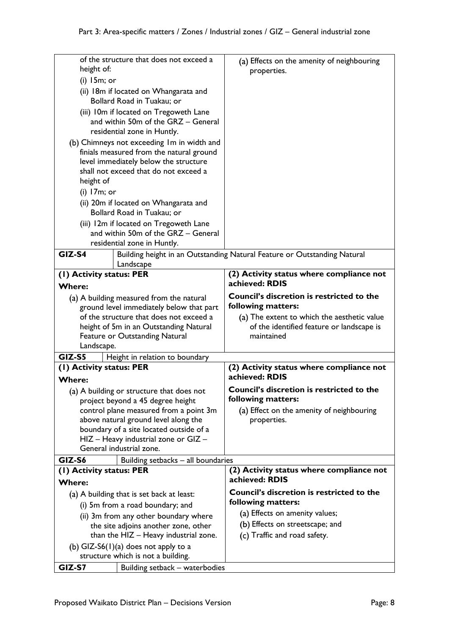|                                          | of the structure that does not exceed a                                        | (a) Effects on the amenity of neighbouring                               |
|------------------------------------------|--------------------------------------------------------------------------------|--------------------------------------------------------------------------|
| height of:                               |                                                                                | properties.                                                              |
| $(i)$ 15m; or                            |                                                                                |                                                                          |
| (ii) 18m if located on Whangarata and    |                                                                                |                                                                          |
| Bollard Road in Tuakau; or               |                                                                                |                                                                          |
|                                          | (iii) 10m if located on Tregoweth Lane                                         |                                                                          |
|                                          | and within 50m of the GRZ - General                                            |                                                                          |
|                                          | residential zone in Huntly.                                                    |                                                                          |
|                                          | (b) Chimneys not exceeding Im in width and                                     |                                                                          |
| finials measured from the natural ground |                                                                                |                                                                          |
| level immediately below the structure    |                                                                                |                                                                          |
|                                          | shall not exceed that do not exceed a                                          |                                                                          |
| height of                                |                                                                                |                                                                          |
| $(i)$ 17 $m$ ; or                        |                                                                                |                                                                          |
|                                          | (ii) 20m if located on Whangarata and                                          |                                                                          |
|                                          | Bollard Road in Tuakau; or                                                     |                                                                          |
|                                          | (iii) 12m if located on Tregoweth Lane                                         |                                                                          |
|                                          | and within 50m of the GRZ - General                                            |                                                                          |
|                                          | residential zone in Huntly.                                                    |                                                                          |
| GIZ-S4                                   |                                                                                | Building height in an Outstanding Natural Feature or Outstanding Natural |
|                                          | Landscape                                                                      |                                                                          |
| (I) Activity status: PER                 |                                                                                | (2) Activity status where compliance not                                 |
| <b>Where:</b>                            |                                                                                | achieved: RDIS                                                           |
|                                          | (a) A building measured from the natural                                       | <b>Council's discretion is restricted to the</b>                         |
|                                          | ground level immediately below that part                                       | following matters:                                                       |
|                                          | of the structure that does not exceed a                                        | (a) The extent to which the aesthetic value                              |
|                                          | height of 5m in an Outstanding Natural                                         |                                                                          |
| Feature or Outstanding Natural           |                                                                                | of the identified feature or landscape is                                |
|                                          |                                                                                | maintained                                                               |
| Landscape.                               |                                                                                |                                                                          |
| GIZ-S5                                   | Height in relation to boundary                                                 |                                                                          |
| (1) Activity status: PER                 |                                                                                | (2) Activity status where compliance not                                 |
| <b>Where:</b>                            |                                                                                | achieved: RDIS                                                           |
|                                          |                                                                                | Council's discretion is restricted to the                                |
|                                          | (a) A building or structure that does not<br>project beyond a 45 degree height | following matters:                                                       |
|                                          | control plane measured from a point 3m                                         | (a) Effect on the amenity of neighbouring                                |
|                                          | above natural ground level along the                                           | properties.                                                              |
|                                          | boundary of a site located outside of a                                        |                                                                          |
|                                          | HIZ - Heavy industrial zone or GIZ -                                           |                                                                          |
|                                          | General industrial zone.                                                       |                                                                          |
| GIZ-S6                                   | Building setbacks - all boundaries                                             |                                                                          |
| (1) Activity status: PER                 |                                                                                | (2) Activity status where compliance not                                 |
| <b>Where:</b>                            |                                                                                | achieved: RDIS                                                           |
|                                          | (a) A building that is set back at least:                                      | Council's discretion is restricted to the                                |
|                                          | (i) 5m from a road boundary; and                                               | following matters:                                                       |
|                                          | (ii) 3m from any other boundary where                                          | (a) Effects on amenity values;                                           |
|                                          | the site adjoins another zone, other                                           | (b) Effects on streetscape; and                                          |
|                                          | than the HIZ - Heavy industrial zone.                                          | (c) Traffic and road safety.                                             |
|                                          | (b) GIZ-S6(1)(a) does not apply to a                                           |                                                                          |
|                                          | structure which is not a building.                                             |                                                                          |